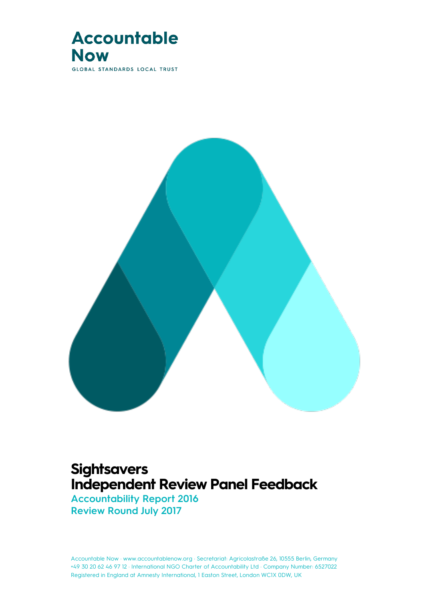

**GLOBAL STANDARDS LOCAL TRUST** 



## **Sightsavers Independent Review Panel Feedback**

**Accountability Report 2016 Review Round July 2017**

Accountable Now · www.accountablenow.org · Secretariat: Agricolastraße 26, 10555 Berlin, Germany<br>— +49 30 20 62 46 97 12 · International NGO Charter of Accountability Ltd · Company Number: 6527022 Registered in England at Amnesty International, 1 Easton Street, London WC1X 0DW, UK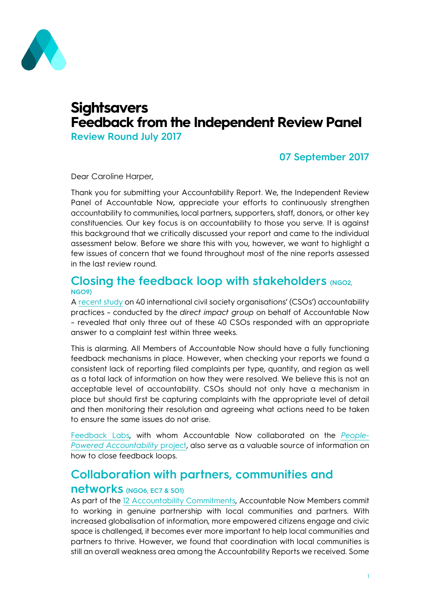

## **Sightsavers Feedback from the Independent Review Panel**

**Review Round July 2017**

### **07 September 2017**

Dear Caroline Harper,

Thank you for submitting your Accountability Report. We, the Independent Review Panel of Accountable Now, appreciate your efforts to continuously strengthen accountability to communities, local partners, supporters, staff, donors, or other key constituencies. Our key focus is on accountability to those you serve. It is against this background that we critically discussed your report and came to the individual assessment below. Before we share this with you, however, we want to highlight a few issues of concern that we found throughout most of the nine reports assessed in the last review round.

#### **Closing the feedback loop with stakeholders (NGO2, NGO9)**

A [recent study](http://accountablenow.org/wp-content/uploads/2017/01/Survey-on-the-Excellence-of-CSO-Accountability_June-2016.pdf) on 40 international civil society organisations' (CSOs') accountability practices – conducted by the *direct impact group* on behalf of Accountable Now – revealed that only three out of these 40 CSOs responded with an appropriate answer to a complaint test within three weeks.

This is alarming. All Members of Accountable Now should have a fully functioning feedback mechanisms in place. However, when checking your reports we found a consistent lack of reporting filed complaints per type, quantity, and region as well as a total lack of information on how they were resolved. We believe this is not an acceptable level of accountability. CSOs should not only have a mechanism in place but should first be capturing complaints with the appropriate level of detail and then monitoring their resolution and agreeing what actions need to be taken to ensure the same issues do not arise.

[Feedback Labs,](http://feedbacklabs.org/) with whom Accountable Now collaborated on the *[People-](https://accountablenow.org/future-accountability/people-powered-decision-making/)[Powered Accountability](https://accountablenow.org/future-accountability/people-powered-decision-making/)* project, also serve as a valuable source of information on how to close feedback loops.

## **Collaboration with partners, communities and**

#### **networks (NGO6, EC7 & SO1)**

As part of the 12 [Accountability Commitments,](http://accountablenow.org/accountability-in-practice/our-accountability-commitments/) Accountable Now Members commit to working in genuine partnership with local communities and partners. With increased globalisation of information, more empowered citizens engage and civic space is challenged, it becomes ever more important to help local communities and partners to thrive. However, we found that coordination with local communities is still an overall weakness area among the Accountability Reports we received. Some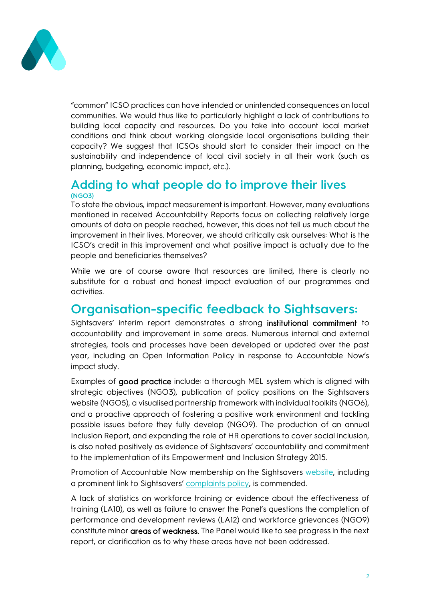

"common" ICSO practices can have intended or unintended consequences on local communities. We would thus like to particularly highlight a lack of contributions to building local capacity and resources. Do you take into account local market conditions and think about working alongside local organisations building their capacity? We suggest that ICSOs should start to consider their impact on the sustainability and independence of local civil society in all their work (such as planning, budgeting, economic impact, etc.).

### **Adding to what people do to improve their lives (NGO3)**

To state the obvious, impact measurement is important. However, many evaluations mentioned in received Accountability Reports focus on collecting relatively large amounts of data on people reached, however, this does not tell us much about the improvement in their lives. Moreover, we should critically ask ourselves: What is the ICSO's credit in this improvement and what positive impact is actually due to the people and beneficiaries themselves?

While we are of course aware that resources are limited, there is clearly no substitute for a robust and honest impact evaluation of our programmes and activities.

## **Organisation-specific feedback to Sightsavers:**

Sightsavers' interim report demonstrates a strong institutional commitment to accountability and improvement in some areas. Numerous internal and external strategies, tools and processes have been developed or updated over the past year, including an Open Information Policy in response to Accountable Now's impact study.

Examples of good practice include: a thorough MEL system which is aligned with strategic objectives (NGO3), publication of policy positions on the Sightsavers website (NGO5), a visualised partnership framework with individual toolkits (NGO6), and a proactive approach of fostering a positive work environment and tackling possible issues before they fully develop (NGO9). The production of an annual Inclusion Report, and expanding the role of HR operations to cover social inclusion, is also noted positively as evidence of Sightsavers' accountability and commitment to the implementation of its Empowerment and Inclusion Strategy 2015.

Promotion of Accountable Now membership on the Sightsavers [website,](https://www.sightsavers.org/about-us/governance/https:/www.sightsavers.org/about-us/governance/) including a prominent link to Sightsavers' [complaints policy,](https://www.sightsavers.org/wp-content/uploads/2017/02/Complaints_policy_February_2017.pdf) is commended.

A lack of statistics on workforce training or evidence about the effectiveness of training (LA10), as well as failure to answer the Panel's questions the completion of performance and development reviews (LA12) and workforce grievances (NGO9) constitute minor areas of weakness. The Panel would like to see progress in the next report, or clarification as to why these areas have not been addressed.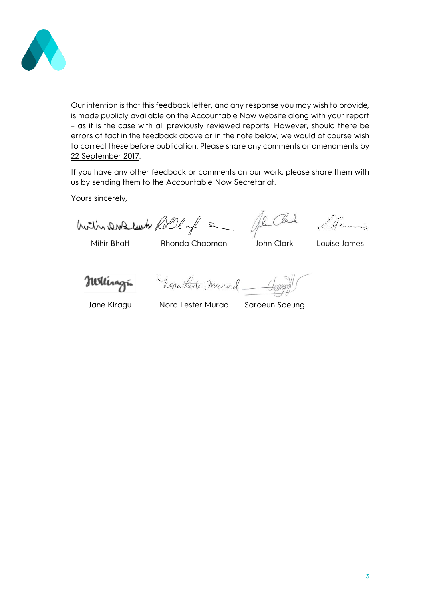

Our intention is that this feedback letter, and any response you may wish to provide, is made publicly available on the Accountable Now website along with your report – as it is the case with all previously reviewed reports. However, should there be errors of fact in the feedback above or in the note below; we would of course wish to correct these before publication. Please share any comments or amendments by 22 September 2017.

If you have any other feedback or comments on our work, please share them with us by sending them to the Accountable Now Secretariat.

Yours sincerely,

huitin DWZ luch Rillof

Mihir Bhatt Rhonda Chapman John Clark Louise James

Je Clark LGames

Nettingri

horateste murad \_

Jane Kiragu Nora Lester Murad Saroeun Soeung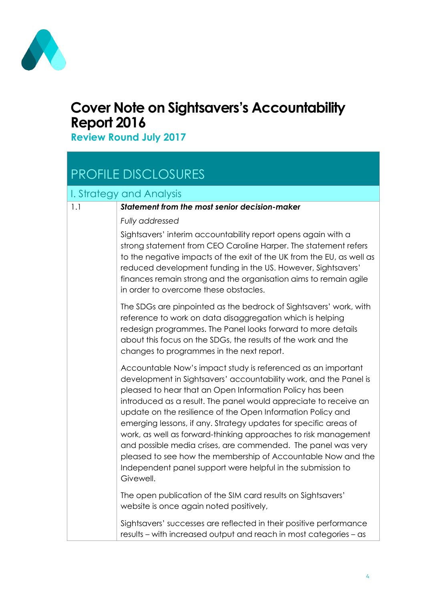

## **Cover Note on Sightsavers's Accountability Report 2016**

**Review Round July 2017**

# PROFILE DISCLOSURES

### I. Strategy and Analysis

| 1.1 | <b>Statement from the most senior decision-maker</b>                                                                                                                                                                                                                                                                                                                                                                                                                                                                                                                                                                                                                                |
|-----|-------------------------------------------------------------------------------------------------------------------------------------------------------------------------------------------------------------------------------------------------------------------------------------------------------------------------------------------------------------------------------------------------------------------------------------------------------------------------------------------------------------------------------------------------------------------------------------------------------------------------------------------------------------------------------------|
|     | Fully addressed                                                                                                                                                                                                                                                                                                                                                                                                                                                                                                                                                                                                                                                                     |
|     | Sightsavers' interim accountability report opens again with a<br>strong statement from CEO Caroline Harper. The statement refers<br>to the negative impacts of the exit of the UK from the EU, as well as<br>reduced development funding in the US. However, Sightsavers'<br>finances remain strong and the organisation aims to remain agile<br>in order to overcome these obstacles.                                                                                                                                                                                                                                                                                              |
|     | The SDGs are pinpointed as the bedrock of Sightsavers' work, with<br>reference to work on data disaggregation which is helping<br>redesign programmes. The Panel looks forward to more details<br>about this focus on the SDGs, the results of the work and the<br>changes to programmes in the next report.                                                                                                                                                                                                                                                                                                                                                                        |
|     | Accountable Now's impact study is referenced as an important<br>development in Sightsavers' accountability work, and the Panel is<br>pleased to hear that an Open Information Policy has been<br>introduced as a result. The panel would appreciate to receive an<br>update on the resilience of the Open Information Policy and<br>emerging lessons, if any. Strategy updates for specific areas of<br>work, as well as forward-thinking approaches to risk management<br>and possible media crises, are commended. The panel was very<br>pleased to see how the membership of Accountable Now and the<br>Independent panel support were helpful in the submission to<br>Givewell. |
|     | The open publication of the SIM card results on Sightsavers'<br>website is once again noted positively,                                                                                                                                                                                                                                                                                                                                                                                                                                                                                                                                                                             |
|     | Sightsavers' successes are reflected in their positive performance<br>results – with increased output and reach in most categories – as                                                                                                                                                                                                                                                                                                                                                                                                                                                                                                                                             |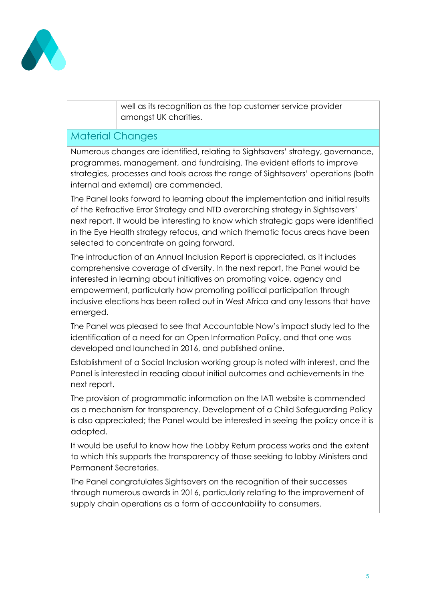

well as its recognition as the top customer service provider amongst UK charities.

### Material Changes

Numerous changes are identified, relating to Sightsavers' strategy, governance, programmes, management, and fundraising. The evident efforts to improve strategies, processes and tools across the range of Sightsavers' operations (both internal and external) are commended.

The Panel looks forward to learning about the implementation and initial results of the Refractive Error Strategy and NTD overarching strategy in Sightsavers' next report. It would be interesting to know which strategic gaps were identified in the Eye Health strategy refocus, and which thematic focus areas have been selected to concentrate on going forward.

The introduction of an Annual Inclusion Report is appreciated, as it includes comprehensive coverage of diversity. In the next report, the Panel would be interested in learning about initiatives on promoting voice, agency and empowerment, particularly how promoting political participation through inclusive elections has been rolled out in West Africa and any lessons that have emerged.

The Panel was pleased to see that Accountable Now's impact study led to the identification of a need for an Open Information Policy, and that one was developed and launched in 2016, and published online.

Establishment of a Social Inclusion working group is noted with interest, and the Panel is interested in reading about initial outcomes and achievements in the next report.

The provision of programmatic information on the IATI website is commended as a mechanism for transparency. Development of a Child Safeguarding Policy is also appreciated; the Panel would be interested in seeing the policy once it is adopted.

It would be useful to know how the Lobby Return process works and the extent to which this supports the transparency of those seeking to lobby Ministers and Permanent Secretaries.

The Panel congratulates Sightsavers on the recognition of their successes through numerous awards in 2016, particularly relating to the improvement of supply chain operations as a form of accountability to consumers.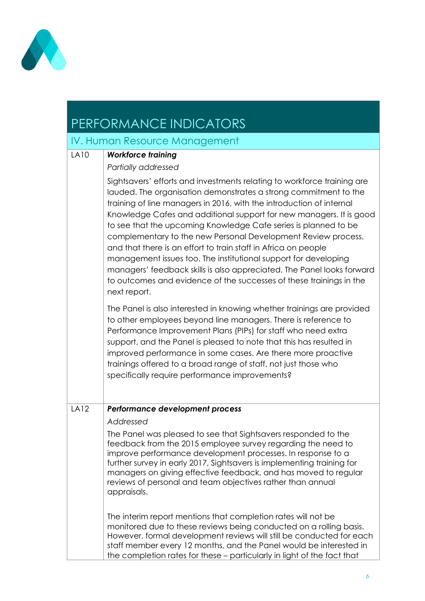

# PERFORMANCE INDICATORS

## IV. Human Resource Management

| <b>LA10</b> | <b>Workforce training</b>                                                                                                                                                                                                                                                                                                                                                                                                                                                                                                                                                                                                                                                                                                            |
|-------------|--------------------------------------------------------------------------------------------------------------------------------------------------------------------------------------------------------------------------------------------------------------------------------------------------------------------------------------------------------------------------------------------------------------------------------------------------------------------------------------------------------------------------------------------------------------------------------------------------------------------------------------------------------------------------------------------------------------------------------------|
|             | Partially addressed                                                                                                                                                                                                                                                                                                                                                                                                                                                                                                                                                                                                                                                                                                                  |
|             | Sightsavers' efforts and investments relating to workforce training are<br>lauded. The organisation demonstrates a strong commitment to the<br>training of line managers in 2016, with the introduction of internal<br>Knowledge Cafes and additional support for new managers. It is good<br>to see that the upcoming Knowledge Cafe series is planned to be<br>complementary to the new Personal Development Review process,<br>and that there is an effort to train staff in Africa on people<br>management issues too. The institutional support for developing<br>managers' feedback skills is also appreciated. The Panel looks forward<br>to outcomes and evidence of the successes of these trainings in the<br>next report. |
|             | The Panel is also interested in knowing whether trainings are provided<br>to other employees beyond line managers. There is reference to<br>Performance Improvement Plans (PIPs) for staff who need extra<br>support, and the Panel is pleased to note that this has resulted in<br>improved performance in some cases. Are there more proactive<br>trainings offered to a broad range of staff, not just those who<br>specifically require performance improvements?                                                                                                                                                                                                                                                                |
| <b>LA12</b> | Performance development process                                                                                                                                                                                                                                                                                                                                                                                                                                                                                                                                                                                                                                                                                                      |
|             | Addressed                                                                                                                                                                                                                                                                                                                                                                                                                                                                                                                                                                                                                                                                                                                            |
|             | The Panel was pleased to see that Sightsavers responded to the<br>feedback from the 2015 employee survey regarding the need to<br>improve performance development processes. In response to a<br>further survey in early 2017, Sightsavers is implementing training for<br>managers on giving effective feedback, and has moved to regular<br>reviews of personal and team objectives rather than annual<br>appraisals.                                                                                                                                                                                                                                                                                                              |
|             | The interim report mentions that completion rates will not be<br>monitored due to these reviews being conducted on a rolling basis.<br>However, formal development reviews will still be conducted for each<br>staff member every 12 months, and the Panel would be interested in<br>the completion rates for these - particularly in light of the fact that                                                                                                                                                                                                                                                                                                                                                                         |